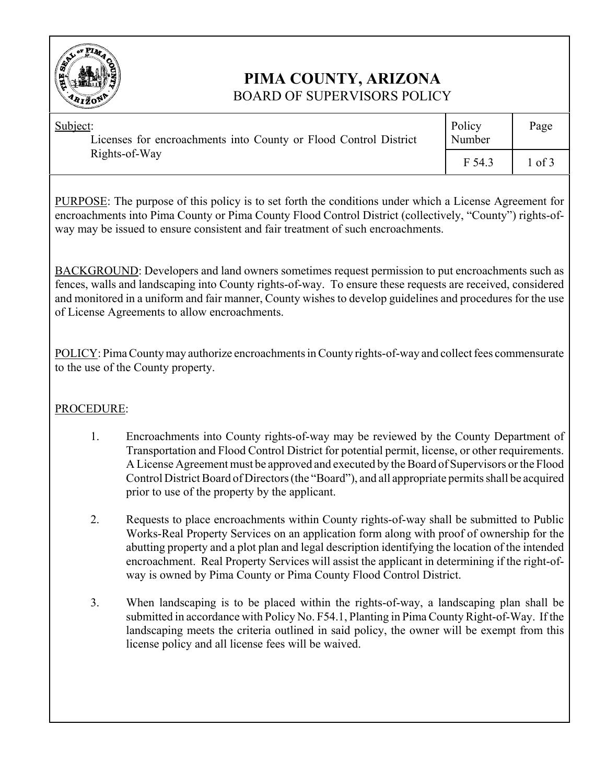

# **PIMA COUNTY, ARIZONA** BOARD OF SUPERVISORS POLICY

| Subject:<br>Licenses for encroachments into County or Flood Control District<br>Rights-of-Way | Policy<br>Number | Page |
|-----------------------------------------------------------------------------------------------|------------------|------|
|                                                                                               | F 54.3           | of 3 |

PURPOSE: The purpose of this policy is to set forth the conditions under which a License Agreement for encroachments into Pima County or Pima County Flood Control District (collectively, "County") rights-ofway may be issued to ensure consistent and fair treatment of such encroachments.

BACKGROUND: Developers and land owners sometimes request permission to put encroachments such as fences, walls and landscaping into County rights-of-way. To ensure these requests are received, considered and monitored in a uniform and fair manner, County wishes to develop guidelines and procedures for the use of License Agreements to allow encroachments.

POLICY: Pima County may authorize encroachments in County rights-of-way and collect fees commensurate to the use of the County property.

# PROCEDURE:

- 1. Encroachments into County rights-of-way may be reviewed by the County Department of Transportation and Flood Control District for potential permit, license, or other requirements. A License Agreement must be approved and executed by the Board of Supervisors or the Flood Control District Board of Directors (the "Board"), and all appropriate permits shall be acquired prior to use of the property by the applicant.
- 2. Requests to place encroachments within County rights-of-way shall be submitted to Public Works-Real Property Services on an application form along with proof of ownership for the abutting property and a plot plan and legal description identifying the location of the intended encroachment. Real Property Services will assist the applicant in determining if the right-ofway is owned by Pima County or Pima County Flood Control District.
- 3. When landscaping is to be placed within the rights-of-way, a landscaping plan shall be submitted in accordance with Policy No. F54.1, Planting in Pima County Right-of-Way. If the landscaping meets the criteria outlined in said policy, the owner will be exempt from this license policy and all license fees will be waived.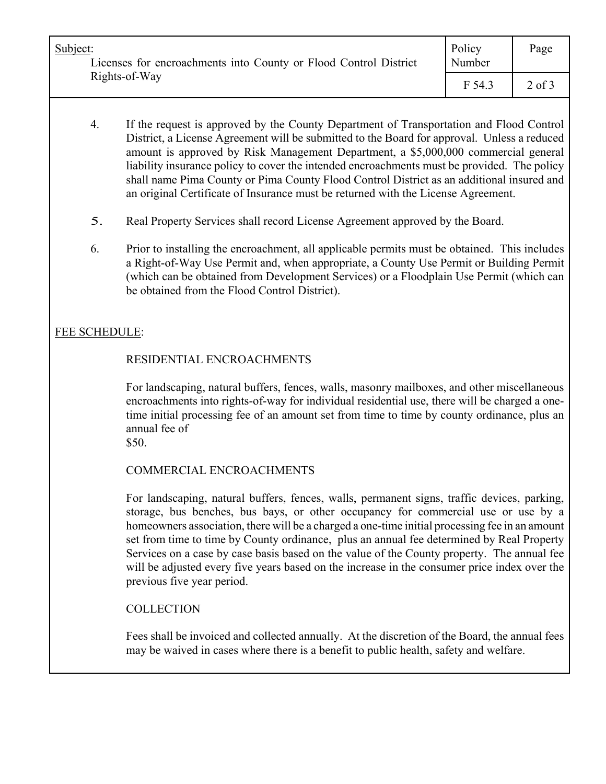| Subject:<br>Licenses for encroachments into County or Flood Control District<br>Rights-of-Way | Policy<br>Number | Page       |
|-----------------------------------------------------------------------------------------------|------------------|------------|
|                                                                                               | F 54.3           | $2$ of $3$ |

- 4. If the request is approved by the County Department of Transportation and Flood Control District, a License Agreement will be submitted to the Board for approval. Unless a reduced amount is approved by Risk Management Department, a \$5,000,000 commercial general liability insurance policy to cover the intended encroachments must be provided. The policy shall name Pima County or Pima County Flood Control District as an additional insured and an original Certificate of Insurance must be returned with the License Agreement.
- 5. Real Property Services shall record License Agreement approved by the Board.
- 6. Prior to installing the encroachment, all applicable permits must be obtained. This includes a Right-of-Way Use Permit and, when appropriate, a County Use Permit or Building Permit (which can be obtained from Development Services) or a Floodplain Use Permit (which can be obtained from the Flood Control District).

# FEE SCHEDULE:

## RESIDENTIAL ENCROACHMENTS

For landscaping, natural buffers, fences, walls, masonry mailboxes, and other miscellaneous encroachments into rights-of-way for individual residential use, there will be charged a onetime initial processing fee of an amount set from time to time by county ordinance, plus an annual fee of

\$50.

### COMMERCIAL ENCROACHMENTS

For landscaping, natural buffers, fences, walls, permanent signs, traffic devices, parking, storage, bus benches, bus bays, or other occupancy for commercial use or use by a homeowners association, there will be a charged a one-time initial processing fee in an amount set from time to time by County ordinance, plus an annual fee determined by Real Property Services on a case by case basis based on the value of the County property. The annual fee will be adjusted every five years based on the increase in the consumer price index over the previous five year period.

### **COLLECTION**

Fees shall be invoiced and collected annually. At the discretion of the Board, the annual fees may be waived in cases where there is a benefit to public health, safety and welfare.